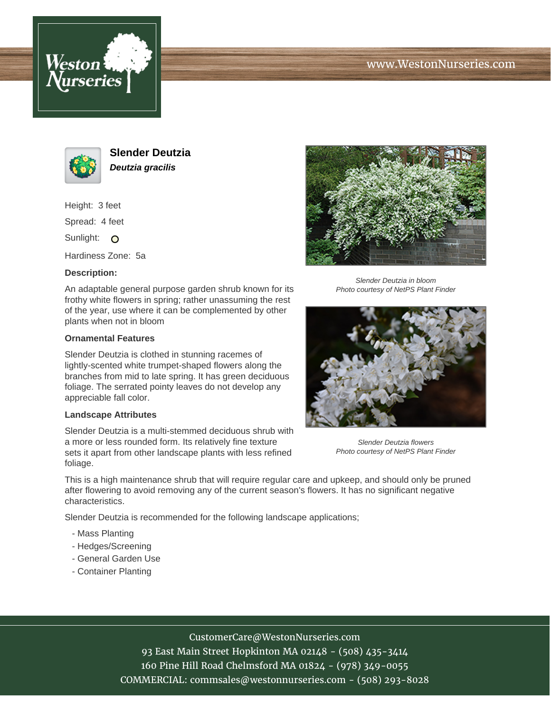



**Slender Deutzia Deutzia gracilis**

Height: 3 feet

Spread: 4 feet

Sunlight: O

Hardiness Zone: 5a

### **Description:**

An adaptable general purpose garden shrub known for its frothy white flowers in spring; rather unassuming the rest of the year, use where it can be complemented by other plants when not in bloom

#### **Ornamental Features**

Slender Deutzia is clothed in stunning racemes of lightly-scented white trumpet-shaped flowers along the branches from mid to late spring. It has green deciduous foliage. The serrated pointy leaves do not develop any appreciable fall color.

#### **Landscape Attributes**

Slender Deutzia is a multi-stemmed deciduous shrub with a more or less rounded form. Its relatively fine texture sets it apart from other landscape plants with less refined foliage.



Slender Deutzia in bloom Photo courtesy of NetPS Plant Finder



Slender Deutzia flowers Photo courtesy of NetPS Plant Finder

This is a high maintenance shrub that will require regular care and upkeep, and should only be pruned after flowering to avoid removing any of the current season's flowers. It has no significant negative characteristics.

Slender Deutzia is recommended for the following landscape applications;

- Mass Planting
- Hedges/Screening
- General Garden Use
- Container Planting

# CustomerCare@WestonNurseries.com

93 East Main Street Hopkinton MA 02148 - (508) 435-3414 160 Pine Hill Road Chelmsford MA 01824 - (978) 349-0055 COMMERCIAL: commsales@westonnurseries.com - (508) 293-8028